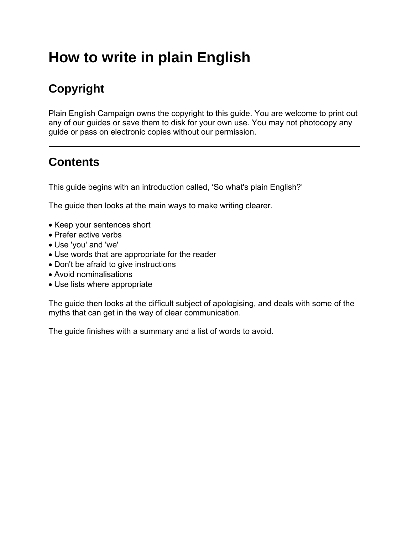# **How to write in plain English**

## **Copyright**

Plain English Campaign owns the copyright to this guide. You are welcome to print out any of our guides or save them to disk for your own use. You may not photocopy any guide or pass on electronic copies without our permission.

### **Contents**

This guide begins with an introduction called, 'So what's plain English?'

The guide then looks at the main ways to make writing clearer.

- Keep your sentences short
- Prefer active verbs
- Use 'you' and 'we'
- Use words that are appropriate for the reader
- Don't be afraid to give instructions
- Avoid nominalisations
- Use lists where appropriate

The guide then looks at the difficult subject of apologising, and deals with some of the myths that can get in the way of clear communication.

The guide finishes with a summary and a list of words to avoid.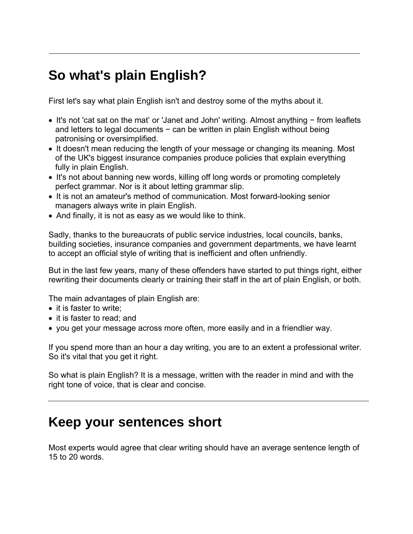# **So what's plain English?**

First let's say what plain English isn't and destroy some of the myths about it.

- It's not 'cat sat on the mat' or 'Janet and John' writing. Almost anything − from leaflets and letters to legal documents − can be written in plain English without being patronising or oversimplified.
- It doesn't mean reducing the length of your message or changing its meaning. Most of the UK's biggest insurance companies produce policies that explain everything fully in plain English.
- It's not about banning new words, killing off long words or promoting completely perfect grammar. Nor is it about letting grammar slip.
- It is not an amateur's method of communication. Most forward-looking senior managers always write in plain English.
- And finally, it is not as easy as we would like to think.

Sadly, thanks to the bureaucrats of public service industries, local councils, banks, building societies, insurance companies and government departments, we have learnt to accept an official style of writing that is inefficient and often unfriendly.

But in the last few years, many of these offenders have started to put things right, either rewriting their documents clearly or training their staff in the art of plain English, or both.

The main advantages of plain English are:

- it is faster to write:
- it is faster to read; and
- you get your message across more often, more easily and in a friendlier way.

If you spend more than an hour a day writing, you are to an extent a professional writer. So it's vital that you get it right.

So what is plain English? It is a message, written with the reader in mind and with the right tone of voice, that is clear and concise.

### **Keep your sentences short**

Most experts would agree that clear writing should have an average sentence length of 15 to 20 words.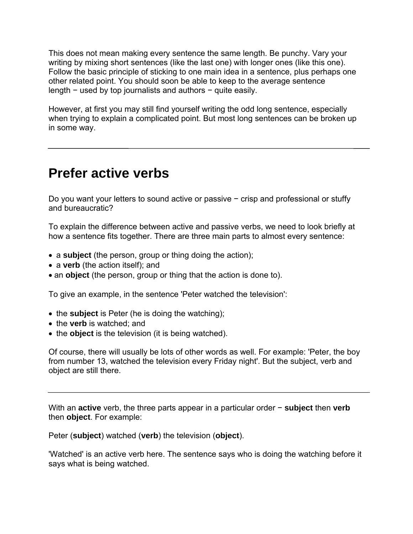This does not mean making every sentence the same length. Be punchy. Vary your writing by mixing short sentences (like the last one) with longer ones (like this one). Follow the basic principle of sticking to one main idea in a sentence, plus perhaps one other related point. You should soon be able to keep to the average sentence length − used by top journalists and authors − quite easily.

However, at first you may still find yourself writing the odd long sentence, especially when trying to explain a complicated point. But most long sentences can be broken up in some way.

### **Prefer active verbs**

Do you want your letters to sound active or passive − crisp and professional or stuffy and bureaucratic?

To explain the difference between active and passive verbs, we need to look briefly at how a sentence fits together. There are three main parts to almost every sentence:

- a **subject** (the person, group or thing doing the action);
- a **verb** (the action itself); and
- an **object** (the person, group or thing that the action is done to).

To give an example, in the sentence 'Peter watched the television':

- the **subject** is Peter (he is doing the watching);
- the **verb** is watched; and
- the **object** is the television (it is being watched).

Of course, there will usually be lots of other words as well. For example: 'Peter, the boy from number 13, watched the television every Friday night'. But the subject, verb and object are still there.

With an **active** verb, the three parts appear in a particular order − **subject** then **verb**  then **object**. For example:

Peter (**subject**) watched (**verb**) the television (**object**).

'Watched' is an active verb here. The sentence says who is doing the watching before it says what is being watched.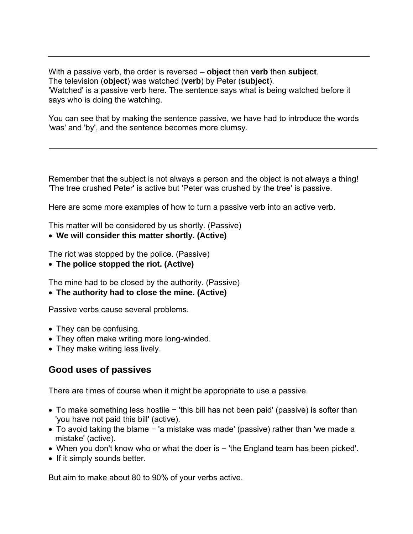With a passive verb, the order is reversed – **object** then **verb** then **subject**. The television (**object**) was watched (**verb**) by Peter (**subject**). 'Watched' is a passive verb here. The sentence says what is being watched before it says who is doing the watching.

You can see that by making the sentence passive, we have had to introduce the words 'was' and 'by', and the sentence becomes more clumsy.

Remember that the subject is not always a person and the object is not always a thing! 'The tree crushed Peter' is active but 'Peter was crushed by the tree' is passive.

Here are some more examples of how to turn a passive verb into an active verb.

This matter will be considered by us shortly. (Passive)

• **We will consider this matter shortly. (Active)** 

The riot was stopped by the police. (Passive)

• **The police stopped the riot. (Active)** 

The mine had to be closed by the authority. (Passive)

• **The authority had to close the mine. (Active)**

Passive verbs cause several problems.

- They can be confusing.
- They often make writing more long-winded.
- They make writing less lively.

#### **Good uses of passives**

There are times of course when it might be appropriate to use a passive.

- To make something less hostile − 'this bill has not been paid' (passive) is softer than 'you have not paid this bill' (active).
- To avoid taking the blame − 'a mistake was made' (passive) rather than 'we made a mistake' (active).
- When you don't know who or what the doer is − 'the England team has been picked'.
- If it simply sounds better.

But aim to make about 80 to 90% of your verbs active.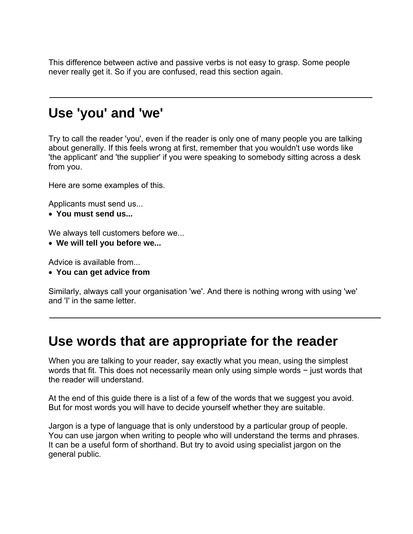This difference between active and passive verbs is not easy to grasp. Some people never really get it. So if you are confused, read this section again.

### **Use 'you' and 'we'**

Try to call the reader 'you', even if the reader is only one of many people you are talking about generally. If this feels wrong at first, remember that you wouldn't use words like 'the applicant' and 'the supplier' if you were speaking to somebody sitting across a desk from you.

Here are some examples of this.

Applicants must send us...

• **You must send us...** 

We always tell customers before we...

• **We will tell you before we...** 

Advice is available from...

• **You can get advice from** 

Similarly, always call your organisation 'we'. And there is nothing wrong with using 'we' and 'I' in the same letter.

### **Use words that are appropriate for the reader**

When you are talking to your reader, say exactly what you mean, using the simplest words that fit. This does not necessarily mean only using simple words − just words that the reader will understand.

At the end of this guide there is a list of a few of the words that we suggest you avoid. But for most words you will have to decide yourself whether they are suitable.

Jargon is a type of language that is only understood by a particular group of people. You can use jargon when writing to people who will understand the terms and phrases. It can be a useful form of shorthand. But try to avoid using specialist jargon on the general public.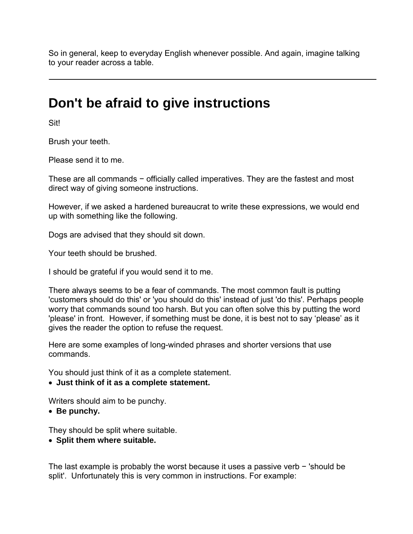So in general, keep to everyday English whenever possible. And again, imagine talking to your reader across a table.

### **Don't be afraid to give instructions**

Sit!

Brush your teeth.

Please send it to me.

These are all commands – officially called imperatives. They are the fastest and most direct way of giving someone instructions.

However, if we asked a hardened bureaucrat to write these expressions, we would end up with something like the following.

Dogs are advised that they should sit down.

Your teeth should be brushed.

I should be grateful if you would send it to me.

There always seems to be a fear of commands. The most common fault is putting 'customers should do this' or 'you should do this' instead of just 'do this'. Perhaps people worry that commands sound too harsh. But you can often solve this by putting the word 'please' in front. However, if something must be done, it is best not to say 'please' as it gives the reader the option to refuse the request.

Here are some examples of long-winded phrases and shorter versions that use commands.

You should just think of it as a complete statement.

• **Just think of it as a complete statement.** 

Writers should aim to be punchy.

• **Be punchy.** 

They should be split where suitable.

• **Split them where suitable.** 

The last example is probably the worst because it uses a passive verb – 'should be split'. Unfortunately this is very common in instructions. For example: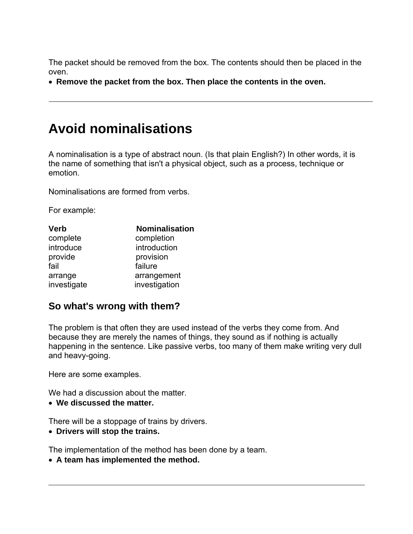The packet should be removed from the box. The contents should then be placed in the oven.

• **Remove the packet from the box. Then place the contents in the oven.** 

### **Avoid nominalisations**

A nominalisation is a type of abstract noun. (Is that plain English?) In other words, it is the name of something that isn't a physical object, such as a process, technique or emotion.

Nominalisations are formed from verbs.

For example:

| <b>Verb</b> | <b>Nominalisation</b> |
|-------------|-----------------------|
| complete    | completion            |
| introduce   | introduction          |
| provide     | provision             |
| fail        | failure               |
| arrange     | arrangement           |
| investigate | investigation         |

#### **So what's wrong with them?**

The problem is that often they are used instead of the verbs they come from. And because they are merely the names of things, they sound as if nothing is actually happening in the sentence. Like passive verbs, too many of them make writing very dull and heavy-going.

Here are some examples.

We had a discussion about the matter.

• **We discussed the matter.** 

There will be a stoppage of trains by drivers.

• **Drivers will stop the trains.** 

The implementation of the method has been done by a team.

• **A team has implemented the method.**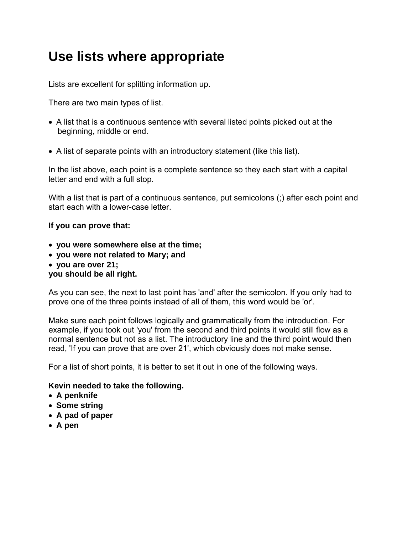## **Use lists where appropriate**

Lists are excellent for splitting information up.

There are two main types of list.

- A list that is a continuous sentence with several listed points picked out at the beginning, middle or end.
- A list of separate points with an introductory statement (like this list).

In the list above, each point is a complete sentence so they each start with a capital letter and end with a full stop.

With a list that is part of a continuous sentence, put semicolons (;) after each point and start each with a lower-case letter.

#### **If you can prove that:**

- **you were somewhere else at the time;**
- **you were not related to Mary; and**
- **you are over 21;**

#### **you should be all right.**

As you can see, the next to last point has 'and' after the semicolon. If you only had to prove one of the three points instead of all of them, this word would be 'or'.

Make sure each point follows logically and grammatically from the introduction. For example, if you took out 'you' from the second and third points it would still flow as a normal sentence but not as a list. The introductory line and the third point would then read, 'If you can prove that are over 21', which obviously does not make sense.

For a list of short points, it is better to set it out in one of the following ways.

#### **Kevin needed to take the following.**

- **A penknife**
- **Some string**
- **A pad of paper**
- **A pen**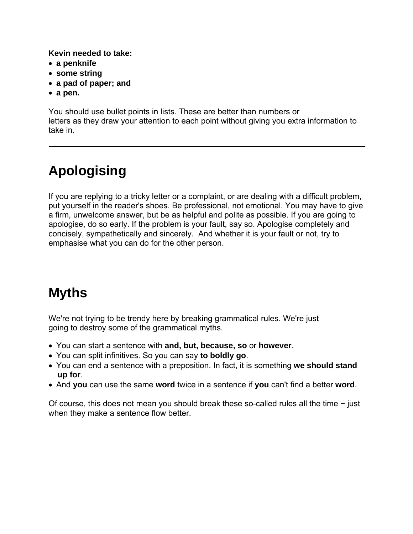**Kevin needed to take:** 

- **a penknife**
- **some string**
- **a pad of paper; and**
- **a pen.**

You should use bullet points in lists. These are better than numbers or letters as they draw your attention to each point without giving you extra information to take in.

# **Apologising**

If you are replying to a tricky letter or a complaint, or are dealing with a difficult problem, put yourself in the reader's shoes. Be professional, not emotional. You may have to give a firm, unwelcome answer, but be as helpful and polite as possible. If you are going to apologise, do so early. If the problem is your fault, say so. Apologise completely and concisely, sympathetically and sincerely. And whether it is your fault or not, try to emphasise what you can do for the other person.

# **Myths**

We're not trying to be trendy here by breaking grammatical rules. We're just going to destroy some of the grammatical myths.

- You can start a sentence with **and, but, because, so** or **however**.
- You can split infinitives. So you can say **to boldly go**.
- You can end a sentence with a preposition. In fact, it is something **we should stand up for**.
- And **you** can use the same **word** twice in a sentence if **you** can't find a better **word**.

Of course, this does not mean you should break these so-called rules all the time − just when they make a sentence flow better.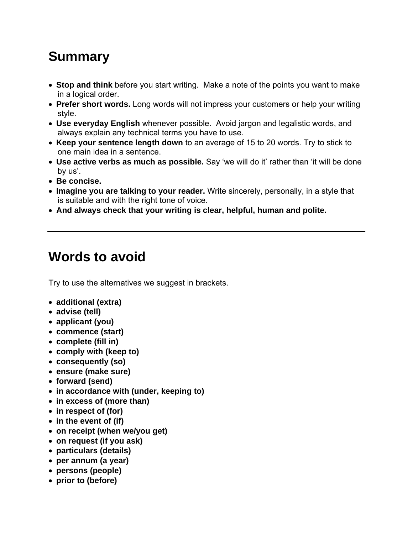# **Summary**

- **Stop and think** before you start writing. Make a note of the points you want to make in a logical order.
- **Prefer short words.** Long words will not impress your customers or help your writing style.
- **Use everyday English** whenever possible. Avoid jargon and legalistic words, and always explain any technical terms you have to use.
- **Keep your sentence length down** to an average of 15 to 20 words. Try to stick to one main idea in a sentence.
- **Use active verbs as much as possible.** Say 'we will do it' rather than 'it will be done by us'.
- **Be concise.**
- **Imagine you are talking to your reader.** Write sincerely, personally, in a style that is suitable and with the right tone of voice.
- **And always check that your writing is clear, helpful, human and polite.**

# **Words to avoid**

Try to use the alternatives we suggest in brackets.

- **additional (extra)**
- **advise (tell)**
- **applicant (you)**
- **commence (start)**
- **complete (fill in)**
- **comply with (keep to)**
- **consequently (so)**
- **ensure (make sure)**
- **forward (send)**
- **in accordance with (under, keeping to)**
- **in excess of (more than)**
- **in respect of (for)**
- **in the event of (if)**
- **on receipt (when we/you get)**
- **on request (if you ask)**
- **particulars (details)**
- **per annum (a year)**
- **persons (people)**
- **prior to (before)**